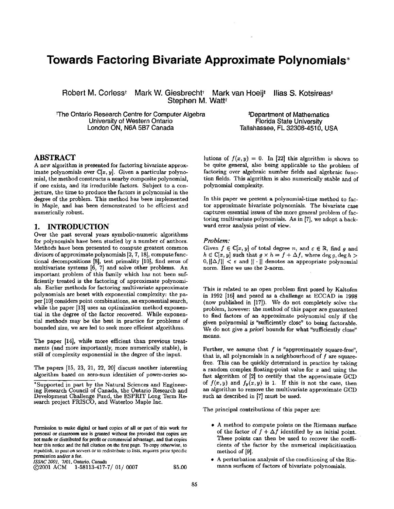# **Towards Factoring Bivariate Approximate Polynomials\***

**Robert M. Corlesst Mark W. Giesbrecht\* Mark van Hoeij\* Ilias S. Kotsireast**  Stephen M. Watt<sup>t</sup>

**~rhe Ontario Research Centre for Computer Algebra University of Western Ontario London ON, N6A 5B7 Canada** 

**tDepartment of Mathematics Florida State University Tallahassee, FL 32306-4510, USA** 

# **ABSTRACT**

A new algorithm is presented for factoring bivariate approximate polynomials over  $\mathbb{C}[x, y]$ . Given a particular polynomial, the method constructs a nearby composite polynomial, if one exists, and its irreducible factors. Subject to a conjecture, the time to produce the factors is polynomial in the degree of the problem. This method has been implemented in Maple, and has been demonstrated to be efficient and numerically robust.

### **1. INTRODUCTION**

Over the past several years symbolic-numeric algorithms for polynomials have been studied by a number of authors. Methods have been presented to compute greatest common divisors of approximate polynomials [2, 7, 18], compute functional decompositions [8], test primality [10], find zeros of multivariate systems [6, 7] and solve other problems. An important problem of this family which has not been sufficiently treated is the factoring of approximate polynomials. Earlier methods for factoring multivariate approximate polynomials are beset with exponential complexity: the paper [10] considers point combinations, an exponential search, while the paper [13] uses an optimization method exponential in the degree of the factor recovered. While exponential methods may be the best in practice for problems of bounded size, we are led to seek more efficient algorithms.

The paper [14], while more efficient than previous treatments (and more importantly, more numerically stable), is still of complexity exponential in the degree of the input.

The papers [15, 23, 21, 22, 20] discuss another interesting algorithm based on zero-sum identities of power-series so-

*ISSAC 2001,* 7/01, Ontario, **Canada** 

 $@2001$  ACM  $1-58113-417-7/01/0007$  \$5.00

lutions of  $f(x, y) = 0$ . In [22] this algorithm is shown to be quite general, also being applicable to the problem of factoring over algebraic number fields and algebraic function fields. This algorithm is also numerically stable and of polynomial complexity.

In this paper we present a polynomial-time method to factor approximate bivariate polynomials. The bivariate case captures essential issues of the more general problem of factoring multivariate polynomials. As in [7], we adopt a backward error analysis point of view.

#### *Problem:*

Given  $f \in \mathbb{C}[x, y]$  of total degree n, and  $\varepsilon \in \mathbb{R}$ , find g and  $h \in \mathbb{C}[x, y]$  such that  $g \times h = f + \Delta f$ , where deg g, deg h >  $[0, ||\Delta f|| < \varepsilon$  and  $|| \cdot ||$  denotes an appropriate polynomial norm. Here we use the 2-norm.

This is related to an open problem first posed by Kaltofen in 1992 [16] and posed as a challenge at ECCAD in 1998 (now published in [17]). We do not completely solve the problem, however: the method of this paper are guaranteed to find factors of an approximate polynomial only if the given polynomial is "sufficiently close" to being factorable. We do not give a *priori* bounds for what "sufficiently close" means.

Further, we assume that  $f$  is "approximately square-free", that is, all polynomials in a neighbourhood of  $f$  are squarefree. This can be quickly determined in practice by taking a random complex floating-point value for z and using the fast algorithm of [2] to certify that the approximate GCD of  $f(x,y)$  and  $f_y(x,y)$  is 1. If this is not the case, then an algorithm to remove the multivariate approximate GCD such as described in [7] must be used.

The principal contributions of this paper are:

- A method to compute points on the Riemann surface of the factor of  $f + \Delta f$  identified by an initial point. These points can then be used to recover the coefficients of the factor by the numerical implicitization method of [9].
- A perturbation analysis of the conditioning of the Riemann surfaces of factors of bivariate polynomials.

<sup>\*</sup> Supported in part by the Natural Sciences and Engineering Research Council of Canada, the Ontario Research and Development Challenge Fund, the ESPRIT Long Term Research project FRISCO, and Waterloo Maple Inc.

Permission to make digital or hard copies of all or part of this work for personal or classroom use is granted without fee provided that copies are **not** made or distributed for profit or commercial advantage, and that copies bear this notice and the full citation on the first page. To copy otherwise, to republish, to post on servers or to redistribute to lists, requires prior specific permission and/or a fee.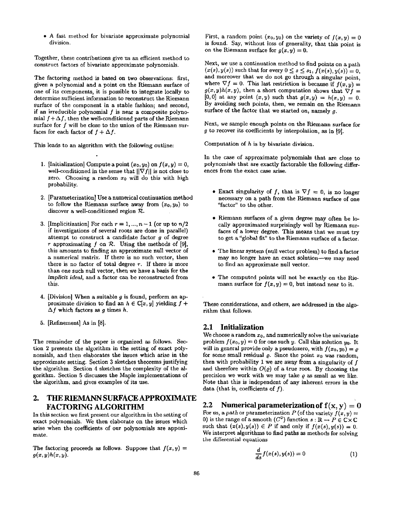• A fast method for bivariate approximate polynomial division.

Together, these contributions give us an efficient method to construct factors of bivariate approximate polynomials.

The factoring method is based on two observations: first, given a polynomial and a point on the Riemann surface of one of its components, it is possible to integrate locally to determine sufficient information to reconstruct the Riemann surface of the component in a stable fashion; and second, if an irreducible polynomial  $f$  is near a composite polynomial  $f + \Delta f$ , then the well-conditioned parts of the Riemann surface for f will be close to the union of the Riemann surfaces for each factor of  $f + \Delta f$ .

This leads to an algorithm with the following outline:

- 1. [Initialization] Compute a point  $(x_0, y_0)$  on  $f(x, y) = 0$ , well-conditioned in the sense that  $||\nabla f||$  is not close to zero. Choosing a random  $x_0$  will do this with high probability.
- 2. [Parameterization] Use a numerical continuation method to follow the Riemann surface away from  $(x_0, y_0)$  to discover a well-conditioned region  $\mathcal{R}$ .
- 3. [Implicitization] For each  $r = 1, ..., n-1$  (or up to  $n/2$ if investigations of several roots are done in parallel) attempt to construct a candidate factor  $g$  of degree r approximating f on  $R$ . Using the methods of [9], this amounts to finding an approximate null vector of a numerical matrix. If there is no such vector, then there is no factor of total degree  $r$ . If there is more than one such null vector, then we have a basis for the *implicit ideal*, and a factor can be reconstructed from this.
- **4.**  [Division] When a suitable g is found, perform an approximate division to find an  $h \in \mathbb{C}[x, y]$  yielding  $f +$  $\Delta f$  which factors as g times h.
- 5. [Refinement] As in [8].

The remainder of the paper is organized as follows. Section 2 presents the algorithm in the setting of exact polynomials, and then elaborates the issues which arise in the approximate setting. Section 3 sketches theorems justifying the algorithm. Section 4 sketches the complexity of the algorithm. Section 5 discusses the Maple implementations of the algorithm, and gives examples of its use.

# **2. THE RIEMANN SURFACE APPROXIMATE FACTORING ALGORITHM**

In this section we first present our algorithm in the setting of exact polynomials. We then elaborate on the issues which arise when the coefficients of our polynomials are appoximate.

The factoring proceeds as follows. Suppose that  $f(x, y) =$ *g(x,y)h(x,y).* 

First, a random point  $(x_0, y_0)$  on the variety of  $f(x, y) = 0$ is found. Say, without loss of generality, that this point is on the Riemann surface for  $g(x,y) = 0$ .

Next, we use a continuation method to find points on a path  $(x(s), y(s))$  such that for every  $0 \leq s \leq s_1$ ,  $f(x(s), y(s)) = 0$ , and moreover that we do not go through a singular point, where  $\nabla f = 0$ . This last restriction is because if  $f(x, y) =$  $g(x, y)h(x, y)$ , then a short computation shows that  $\nabla f =$  $[0,0]$  at any point  $(x,y)$  such that  $g(x,y) = h(x,y) = 0$ . By avoiding such points, then, we remain on the Riemann surface of the factor that we started on, namely  $q$ .

Next, we sample enough points on the Riemann surface for g to recover its coefficients by interpolation, as in [9].

Computation of  $h$  is by bivariate division.

In the case of approximate polynomials that are close to polynomials that are exactly factorable the following differences from the exact case arise.

- Exact singularity of f, that is  $\nabla f = 0$ , is no longer necessary on a path from the Riemann surface of one "factor" to the other.
- Riemann surfaces of a given degree may often be locally approximated surprisingly well by Riemann surfaces of a lower degree. This means that we must try to get a "global fit" to the Riemann surface of a factor.
- The linear system (null vector problem) to find a factor may no longer have an exact solution--we may need to find an approximate null vector.
- The computed points will not be exactly on the Riemann surface for  $f(x, y) = 0$ , but instead near to it.

These considerations, and others, are addressed in the algorithm that follows.

### **2.1 Initialization**

We choose a random  $x_0$ , and numerically solve the univariate problem  $f(x_0, y) = 0$  for one such y. Call this solution y<sub>0</sub>. It will in general provide only a pseudozero, with  $f(x_0, y_0) = \varrho$ for some small residual  $\rho$ . Since the point  $x_0$  was random, then with probability 1 we are away from a singularity of  $f$ and therefore within  $O(\varrho)$  of a true root. By choosing the precision we work with we may take  $\rho$  as small as we like. Note that this is independent of any inherent errors in the data (that is, coefficients of  $f$ ).

2.2 Numerical parameterization of  $f(x, y) = 0$ For us, a *path* or parameterization P (of the variety  $f(x, y) =$ 0) is the range of a smooth  $(C^2)$  function  $s : \mathbb{R} \to P \in \mathbb{C} \times \mathbb{C}$ such that  $(x(s), y(s)) \in P$  if and only if  $f(x(s), y(s)) = 0$ . We interpret algorithms to find paths as methods for solving the differential equations

$$
\frac{d}{ds}f(x(s),y(s)) = 0\tag{1}
$$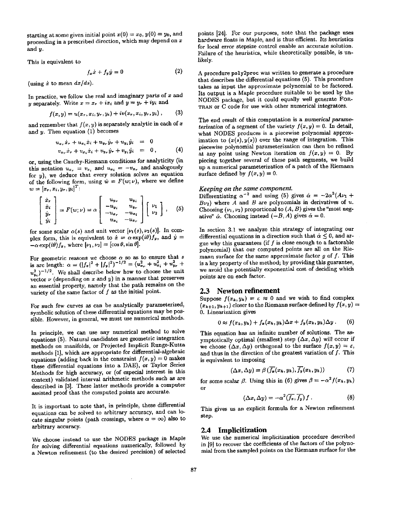starting at some given initial point  $x(0) = x_0, y(0) = y_0$ , and proceeding in a prescribed direction, which may depend on x and y.

This is equivalent to

$$
f_x \dot{x} + f_y \dot{y} = 0 \tag{2}
$$

(using  $\dot{x}$  to mean  $dx/ds$ ).

In practice, we follow the real and imaginary parts of  $x$  and y separately. Write  $x = x_r + ix_i$  and  $y = y_r + iy_i$  and

$$
f(x, y) = u(x_r, x_i, y_r, y_i) + iv(x_r, x_i, y_r, y_i), \qquad (3)
$$

and remember that  $f(x, y)$  is separately analytic in each of x and  $y$ . Then equation (1) becomes

$$
u_{x_r}\dot{x}_r + u_{x_i}\dot{x}_i + u_{y_r}\dot{y}_r + u_{y_i}\dot{y}_i = 0
$$
  

$$
v_{x_r}\dot{x}_r + v_{x_i}\dot{x}_i + v_{y_r}\dot{y}_r + v_{y_i}\dot{y}_i = 0,
$$
 (4)

or, using the Cauchy-Riemann conditions for analyticity (in this notation  $u_{x_r} = v_{x_i}$  and  $u_{x_i} = -v_{x_r}$  and analogously for  $y$ ), we deduce that every solution solves an equation of the following form, using  $\dot{w} = F(w; \nu)$ , where we define  $w = [x_r, x_i, y_r, y_i]^T$ :

$$
\begin{bmatrix}\n\dot{x}_r \\
\dot{x}_i \\
\dot{y}_r \\
\dot{y}_i\n\end{bmatrix} = F(w; \nu) = \alpha \begin{bmatrix}\nu_{y_r} & u_{y_i} \\
-u_{y_i} & u_{y_r} \\
-u_{x_r} & -u_{x_i} \\
u_{x_i} & -u_{x_r}\n\end{bmatrix} \begin{bmatrix}\nu_1 \\
\nu_2\n\end{bmatrix},
$$
 (5)

for some scalar  $\alpha(s)$  and unit vector  $[\nu_1(s), \nu_2(s)]$ . In complex form, this is equivalent to  $\dot{x} = \alpha \exp(i\theta)f_y$ , and  $\dot{y} =$  $-\alpha \exp(i\theta)f_x$ , where  $[\nu_1, \nu_2] = [\cos \theta, \sin \theta].$ 

For geometric reasons we choose  $\alpha$  so as to ensure that s is arc length:  $\alpha = (|f_x|^2 + |f_y|^2)^{-1/2} = (u_{x_x}^2 + u_{x_y}^2 + u_{y_y}^2 + u_{y_z}^2)$  $u^2_{\nu}$ <sup>-1/2</sup>. We shall describe below how to choose the unit vector  $\nu$  (depending on x and y) in a manner that preserves an essential property, namely that the path remains on the variety of the same factor of f as the initial point.

For such few curves as can be analytically parameterized, symbolic solution of these differential equations may be possible. However, in general, we must use numerical methods.

In principle, we can use any numerical method to solve equations (5). Natural candidates are geometric integration methods on manifolds, or Projected Implicit Runge-Kutta methods [1], which are appropriate for differential-algebraic equations (adding back in the constraint  $f(x, y) = 0$  makes these differential equations into a DAE), or Taylor Series Methods for high accuracy, or (of especial interest in this context) validated interval arithmetic methods such as are described in [3]. These latter methods provide a computer assisted proof that the computed points are accurate.

It is important to note that, in principle, these differential equations can be solved to arbitrary accuracy, and can locate singular points (path crossings, where  $\alpha = \infty$ ) also to arbitrary accuracy.

We choose instead to use the NODES package in Maple for solving differential equations numerically, followed by a Newton refinement (to the desired precision) of selected

points [24]. For our purposes, note that the package uses hardware floats in Maple, and is thus efficient. Its heuristics for local error stepsize control enable an accurate solution. Failure of the heuristics, while theoretically possible, is unlikely.

A procedure poly2proc was written to generate a procedure that describes the differential equations (5). This procedure takes as input the approximate polynomial to be factored. Its output is a Maple procedure suitable to be used by the NODES package, but it could equally well generate FOR-TRAN or C code for use with other numerical integrators.

The end result of this computation is a numerical parame*terization* of a segment of the variety  $f(x, y) = 0$ . In detail, what NODES produces is a piecewise polynomial approximation to  $(x(s), y(s))$  over the range of integration. This piecewise polynomial parameterization can then be refined at any point using Newton iteration on  $f(x, y) = 0$ . By piecing together several of these path segments, we build up a numerical parameterization of a patch of the Riemann surface defined by  $f(x, y) = 0$ .

### *Keeping on the same component.*

Differentiating  $\alpha^{-2}$  and using (5) gives  $\dot{\alpha} = -2\alpha^3 (A\nu_1 +$  $B_{\nu_2}$ ) where A and B are polynomials in derivatives of u. Choosing  $(\nu_1, \nu_2)$  proportional to  $(A, B)$  gives the "most negative"  $\dot{\alpha}$ . Choosing instead  $(-B, A)$  gives  $\dot{\alpha} = 0$ .

In section 3.1 we analyze this strategy of integrating our differential equations in a direction such that  $\alpha \leq 0$ , and argue why this guarantees (if  $f$  is close enough to a factorable polynomial) that our computed points are all on the Riemann surface for the same approximate factor g of  $f$ . This is a key property of the method; by providing this guarantee, we avoid the potentially exponential cost of deciding which points are on each factor.

### **2.3 Newton refinement**

Suppose  $f(x_k, y_k) = \varepsilon \approx 0$  and we wish to find complex  $(x_{k+1}, y_{k+1})$  closer to the Riemann surface defined by  $f(x, y) =$ 0. Linearization gives

$$
0 \approx f(x_k, y_k) + f_x(x_k, y_k) \Delta x + f_y(x_k, y_k) \Delta y. \quad (6)
$$

This equation has an infinite number of solutions. The asymptotically optimal (smallest) step  $(\Delta x, \Delta y)$  will occur if we choose  $(\Delta x, \Delta y)$  orthogonal to the surface  $f(x, y) = \varepsilon$ , and thus in the direction of the greatest variation of  $f$ . This is equivalent to imposing

$$
(\Delta x, \Delta y) = \beta \left( \overline{f_x}(x_k, y_k), \overline{f_y}(x_k, y_k) \right) \tag{7}
$$

for some scalar  $\beta$ . Using this in (6) gives  $\beta = -\alpha^2 f(x_k, y_k)$ or

$$
(\Delta x, \Delta y) = -\alpha^2 \left(\overline{f_x}, \overline{f_y}\right) f. \tag{8}
$$

This gives us an explicit formula for a Newton refinement step.

#### **2.4 Implicitization**

We use the numerical implicitization procedure described in [9] to recover the coefficients of the factors of the polynomial from the sampled points on the Riemann surface for the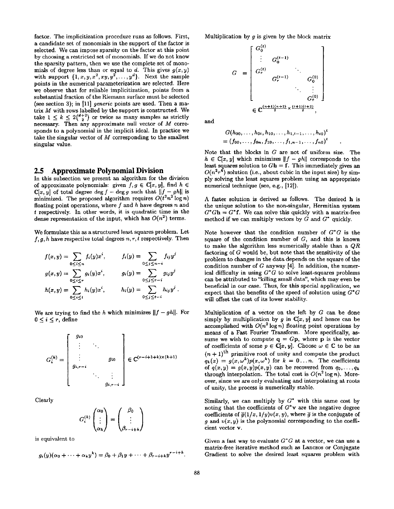factor. The implicitization procedure runs as follows. First, a candidate set of monomials in the support of the factor is selected. We can impose sparsity on the factor at this point by choosing a restricted set of monomials. If we do not know the sparsity pattern, then we use the complete set of monomials of degree less than or equal to  $d$ . This gives  $g(x, y)$ with support  $\{1, x, y, x^2, xy, y^2, \ldots, y^d\}$ . Next the sample points in the numerical parameterization are selected. Here we observe that for reliable implicitization, points from a substantial fraction of the Riemann surface must be selected (see section 3); in [11] *generic* points are used. Then a matrix  $M$  with rows labelled by the support is constructed. We take  $1 \leq k \leq 2\binom{d+2}{2}$  or twice as many samples as strictly necessary. Then any approximate null vector of M corresponds to a polynomial in the implicit ideal. In practice we take the singular vector of  $M$  corresponding to the smallest singular value.

# **2.5 Approximate Polynomial Division**

In this subsection we present an algorithm for the division of approximate polynomials: given  $f, g \in \mathbb{C}[x, y]$ , find  $h \in$  $\mathbb{C}[x, y]$  of total degree deg  $f - \deg g$  such that  $||f - gh||$  is minimized. The proposed algorithm requires  $O(t^2n^2 \log n)$ floating point operations, where  $f$  and  $h$  have degrees  $n$  and t respectively• In other words, it is quadratic time in the dense representation of the input, which has  $O(n^2)$  terms.

We formulate this as a structured least squares problem. Let  $f, g, h$  have respective total degrees  $n, r, t$  respectively. Then

$$
f(x,y) = \sum_{0 \le i \le n} f_i(y)x^i, \qquad f_i(y) = \sum_{0 \le j \le n-i} f_{ij}y^j
$$
  

$$
g(x,y) = \sum_{0 \le i \le r} g_i(y)x^i, \qquad g_i(y) = \sum_{0 \le j \le r-i} g_{ij}y^j
$$
  

$$
h(x,y) = \sum_{0 \le i \le t} h_i(y)x^i, \qquad h_i(y) = \sum_{0 \le j \le t-i} h_{ij}y^j.
$$

We are trying to find the h which minimizes  $||f - gh||$ . For  $0 \leq i \leq r$ , define

$$
G_i^{(k)} = \begin{bmatrix} g_{i0} \\ \vdots & \ddots \\ g_{i,r-i} \\ \vdots & \vdots \\ g_{i,r-i} \\ \vdots & \ddots \\ g_{i,r-i} \end{bmatrix} \in \mathbb{C}^{(r-i+1+k)\times (k+1)}
$$

Clearly

$$
G_i^{(k)}\begin{pmatrix} \alpha_0 \\ \vdots \\ \alpha_k \end{pmatrix} = \begin{pmatrix} \beta_0 \\ \vdots \\ \beta_{r-i+k} \end{pmatrix}
$$

is equivalent to

$$
g_i(y)(\alpha_0+\cdots+\alpha_ky^k)=\beta_0+\beta_1y+\cdots+\beta_{r-i+k}y^{r-i+k}.
$$

Multiplication by  $q$  is given by the block matrix

$$
G = \begin{bmatrix} G_0^{(t)} & & & \\ \vdots & G_0^{(t-1)} & & \\ G_r^{(t)} & & \ddots & \\ G_r^{(t-1)} & & G_0^{(0)} \\ & & \ddots & \vdots \\ & & & G_r^{(0)} \end{bmatrix}
$$

$$
\in \mathbb{C}^{\frac{(n+1)(n+2)}{2} \times \frac{(i+1)(i+2)}{2}},
$$

and

$$
G(h_{00},\ldots,h_{0t},h_{10},\ldots,h_{1,t-1},\ldots,h_{t0})^t
$$
  
=  $(f_{00},\ldots,f_{0n},f_{10},\ldots,f_{1,n-1},\ldots,f_{n0})^t$ 

Note that the blocks in G are not of uniform size. The  $h \in \mathbb{C}[x, y]$  which minimizes  $||f - gh||$  corresponds to the least squares solution to  $G<sup>h</sup> = f$ . This immediately gives an  $O(n^2r^4)$  solution (i.e., about cubic in the input size) by simply solving the least squares problem using an appropriate numerical technique (see, e.g., [12]).

A faster solution is derived as follows. The desired h is the unique solution to the non-singular, Hermitian system  $G^*Gh = G^*f$ . We can solve this quickly with a matrix-free method if we can multiply vectors by  $G$  and  $G^*$  quickly.

Note however that the condition number of *G\*G* is the square of the condition number of  $G$ , and this is known to make the algorithm less numerically stable than a *QR*  factoring of G would be, but note that the sensitivity of the problem to changes in the data depends on the square of the condition number of  $G$  anyway [4]. In addition, the numerical difficulty in using *G\*G* to solve least-squares problems can be attributed to "killing small data", which may even be beneficial in our case. Thus, for this special application, we expect that the benefits of the speed of solution using *G\*G*  will offset the cost of its lower stability.

Multiplication of a vector on the left by  $G$  can be done simply by multiplication by g in  $C[x, y]$  and hence can be accomplished with  $O(n^2 \log n)$  floating point operations by means of a Fast Fourier Transform. More specifically, assume we wish to compute  $q = Gp$ , where  $p$  is the vector of coefficients of some  $p \in \mathbb{C}[x, y]$ . Choose  $\omega \in \mathbb{C}$  to be an  $(n + 1)$ <sup>th</sup> primitive root of unity and compute the product  $q_k(x) = g(x, \omega^k)p(x, \omega^k)$  for  $k = 0...n$ . The coefficients of  $q(x,y) = g(x,y)p(x,y)$  can be recovered from  $q_0, \ldots, q_k$ through interpolation. The total cost is  $O(n^2 \log n)$ . Moreover, since we are only evaluating and interpolating at roots of unity, the process is numerically stable.

Similarly, we can multiply by  $G^*$  with this same cost by noting that the coefficients of  $G^*$ v are the negative degree coefficients of  $\bar{g}(1/x, 1/y)v(x, y)$ , where  $\bar{g}$  is the conjugate of  $g$  and  $v(x, y)$  is the polynomial corresponding to the coefficient vector v.

Given a fast way to evaluate *G\*G* at a vector, we can use a matrix-free iterative method such as Lanczos or Conjugate Gradient to solve the desired least squares problem with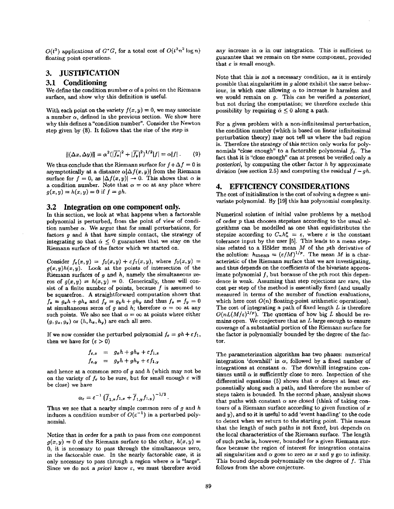$O(t^2)$  applications of  $G^*G$ , for a total cost of  $O(t^2n^2 \log n)$ floating point operations.

# **3. JUSTIFICATION**

### **3.1 Conditioning**

We define the condition number  $\alpha$  of a point on the Riemann surface, and show why this definition is useful.

With each point on the variety  $f(x, y) = 0$ , we may associate a number  $\alpha$ , defined in the previous section. We show here why this defines a"condition number". Consider the Newton step given by (8). It follows that the size of the step is

$$
\|(\Delta x, \Delta y)\| = \alpha^2 (|\overline{f_x}|^2 + |\overline{f_y}|^2)^{1/2} |f| = \alpha |f| \,. \tag{9}
$$

We thus conclude that the Riemann surface for  $f + \Delta f = 0$  is asymptotically at a distance  $\alpha|\Delta f(x, y)|$  from the Riemann surface for  $f = 0$ , as  $|\Delta f(x, y)| \rightarrow 0$ . This shows that  $\alpha$  is a condition number. Note that  $\alpha = \infty$  at any place where  $g(x, y) = h(x, y) = 0$  if  $f = gh$ .

#### **3.2 Integration on one component only.**

In this section, we look at what happens when a factorable polynomial is perturbed, from the point of view of condition number  $\alpha$ . We argue that for small perturbations, for factors  $q$  and  $h$  that have simple contact, the strategy of integrating so that  $\dot{\alpha} \leq 0$  guarantees that we stay on the Riemann surface of the factor which we started on.

Consider  $f_{\epsilon}(x,y) = f_0(x,y) + \epsilon f_1(x,y)$ , where  $f_0(x,y) =$  $g(x,y)h(x,y)$ . Look at the points of intersection of the Riemann surfaces of  $g$  and  $h$ , namely the simultaneous zeros of  $g(x,y) = h(x,y) = 0$ . Generically, these will consist of a finite number of points, because  $f$  is assumed to be squarefree.. A straightforward computation shows that  $f_x = g_x h + gh_x$  and  $f_y = g_y h + gh_y$  and thus  $f_x = f_y = 0$ at simultaneous zeros of g and h; therefore  $\alpha = \infty$  at any such points. We also see that  $\alpha = \infty$  at points where either  $(g, g_x, g_y)$  or  $(h, h_x, h_y)$  are each all zero.

If we now consider the perturbed polynomial  $f_{\epsilon} = gh + \epsilon f_1$ , then we have for  $(\epsilon > 0)$ 

$$
f_{\varepsilon,x} = g_x h + gh_x + \varepsilon f_{1,x}
$$
  

$$
f_{\varepsilon,y} = g_y h + gh_y + \varepsilon f_{1,y}
$$

and hence at a common zero of  $g$  and  $h$  (which may not be on the variety of  $f_{\varepsilon}$  to be sure, but for small enough  $\varepsilon$  will be close) we have

$$
\alpha_{\varepsilon} = \varepsilon^{-1} \left( \overline{f}_{1,x} f_{1,x} + \overline{f}_{1,y} f_{1,y} \right)^{-1/2}.
$$

Thus we see that a nearby simple common zero of  $g$  and  $h$ induces a condition number of  $O(\varepsilon^{-1})$  in a perturbed polynomial.

Notice that in order for a path to pass from one component  $g(x, y) = 0$  of the Riemann surface to the other,  $h(x, y) = 0$ 0, it is necessary to pass through the simultaneous zero, in the factorable case. In the nearly factorable case, it is only necessary to pass through a region where  $\alpha$  is "large". Since we do not a *priori* know  $\varepsilon$ , we must therefore avoid *any* increase in  $\alpha$  in our integration. This is sufficient to guarantee that we remain on the same component, provided that  $\varepsilon$  is small enough.

Note that this is *not* a necessary condition, as it is entirely possible that singularities in  $q$  alone exhibit the same behaviour, in which case allowing  $\alpha$  to increase is harmless and we would remain on g. This can be verified a *posteriori,*  but not during the computation; we therefore exclude this possibility by requiring  $\alpha \leq 0$  along a path.

For a given problem with a non-infinitesimal perturbation, the condition number (which is based on linear infinitesimal perturbation theory) may not tell us where the bad region is. Therefore the strategy of this section only works for polynomials "close enough" to a factorable polynomial  $f_0$ . The fact that it is "close enough" can at present be verified only a *posteriori,* by computing the other factor h by approximate division (see section 2.5) and computing the residual  $f - gh$ .

### **4. EFFICIENCY CONSIDERATIONS**

The cost of initialization is the cost of solving a degree  $n$  univariate polynomial. By [19] this has polynomial complexity.

Numerical solution of initial value problems by a method of order p that chooses stepsizes according to the usual algorithms can be modelled as one that equidistributes the stepsize according to  $C_n h_n^p = \varepsilon$ , where  $\varepsilon$  is the constant tolerance input by the user [5]. This leads to a mean stepsize related to a Hölder mean  $M$  of the pth derivative of the solution:  $h_{\text{mean}} = (\varepsilon/M)^{1/p}$ . The mean M is a characteristic of the Riemann surface that we are investigating, and thus depends on the coefficients of the bivariate approximate polynomial  $f$ , but because of the pth root this dependence is weak. Assuming that step rejections are rare, the cost per step of the method is essentially fixed (and usually measured in terms of the number of function evaluations, which here cost  $O(n)$  floating-point arithmetic operations). The cost of integrating a path of fixed length  $L$  is therefore  $O(nL(M/\varepsilon)^{1/p})$ . The question of how big L should be remains open. We conjecture that an L large enough to ensure coverage of a substantial portion of the Riemann surface for the factor is polynomially bounded by the degree of the factor.

The parameterization algorithm has two phases: numerical integration 'downhill' in  $\alpha$ , followed by a fixed number of integrations at constant  $\alpha$ . The downhill integration continues until  $\alpha$  is sufficiently close to zero. Inspection of the differential equations (5) shows that  $\alpha$  decays at least exponentially along such a path, and therefore the number of steps taken is bounded. In the second phase, analysis shows that paths with constant  $\alpha$  are closed (think of taking contours of a Riemann surface according to given function of  $x$ and  $y$ ), and so it is useful to add 'event handling' to the code to detect when we return to the starting point. This means that the length of such paths is not fixed, but depends on the local characteristics of the Riemann surface. The length of such paths is, however, bounded for a given Riemann surface because the region of interest for integration contains all singularities and  $\alpha$  goes to zero as x and y go to infinity. This bound depends polynomially on the degree of f. This follows from the above conjecture.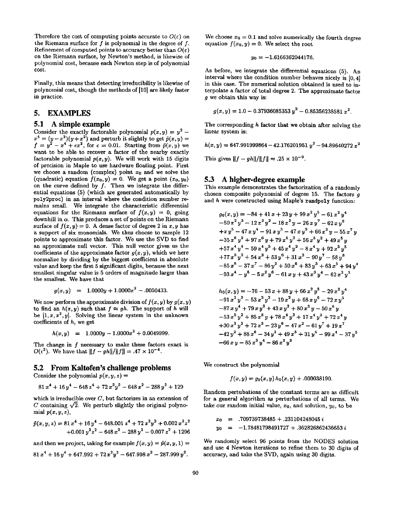Therefore the cost of computing points accurate to  $O(\varepsilon)$  on the Riemann surface for  $f$  is polynomial in the degree of  $f$ . Refinement of computed points to accuracy better than  $O(\varepsilon)$ on the Riemann surface, by Newton's method, is likewise of polynomial cost, because each Newton step is of polynomial cost.

Finally, this means that detecting irreducibility is likewise of polynomial cost, though the methods of [10] are likely faster in practice.

# **5. EXAMPLES**

### **5.1 A simple example**

Consider the exactly factorable polynomial  $p(x, y) = y^2$  –  $x^4 = (y-x^2)(y+x^2)$  and perturb it slightly to get  $\tilde{p}(x,y) =$  $f = y^2 - x^4 + \epsilon x^2$ , for  $\epsilon = 0.01$ . Starting from  $\bar{p}(x, y)$  we want to be able to recover a factor of the nearby exactly factorable polynomial  $p(x, y)$ . We will work with 15 digits of precision in Maple to use hardware floating point. First we choose a random (complex) point  $x_0$  and we solve the (quadratic) equation  $f(x_0, y) = 0$ . We get a point  $(x_0, y_0)$ on the curve defined by  $f$ . Then we integrate the differential equations (5) (which axe generated automatically by poly2proc) in an interval where the condition number remains small. We integrate the characteristic differential equations for the Riemann surface of  $f(x, y) = 0$ , going downhill in  $\alpha$ . This produces a set of points on the Riemann surface of  $f(x, y) = 0$ . A dense factor of degree 2 in x, y has a support of six monomials. We thus choose to sample 12 points to approximate this factor. We use the SVD to find an approximate null vector. This null vector gives us the coefficients of the approximate factor  $g(x, y)$ , which we here normalize by dividing by the biggest coefficient in absolute value and keep the first 5 significant digits, because the next smallest singular value is 5 orders of magnitude larger than the smallest. We have that

$$
g(x, y) = 1.0000y + 1.0000x^2 - .0050433.
$$

We now perform the approximate division of  $f(x, y)$  by  $g(x, y)$ to find an  $h(x, y)$  such that  $f \approx gh$ . The support of h will be  $[1, x, x^2, y]$ . Solving the linear system in the unknown coefficients of h, we get

$$
h(x, y) = 1.0000y - 1.0000x^{2} + 0.0049999.
$$

The change in f necessary to make these factors exact is  $O(\epsilon^2)$ . We have that  $||f - gh||/||f|| = .47 \times 10^{-4}$ .

# **5.2 From Kaltofen's challenge problems**

Consider the polynomial  $p(x, y, z) =$ 

$$
81x^4 + 16y^4 - 648z^4 + 72x^2y^2 - 648x^2 - 288y^2 + 129
$$

which is irreducible over  $C$ , but factorizes in an extension of C containing  $\sqrt{2}$ . We perturb slightly the original polynomial  $p(x, y, z)$ ,

$$
\tilde{p}(x, y, z) = 81 x4 + 16 y4 - 648.001 x4 + 72 x2y2 + 0.002 x2 z2+ 0.001 y2 z2 - 648 x2 - 288 y2 - 0.007 z2 + 1296
$$

and then we project, taking for example  $f(x, y) = \tilde{p}(x, y, 1) =$ 

$$
81 x4 + 16 y4 + 647.992 + 72 x2y2 - 647.998 x2 - 287.999 y2.
$$

We choose  $x_0 = 0.1$  and solve numerically the fourth degree equation  $f(x_0, y) = 0$ . We select the root

$$
y_0 = -1.6166362044176.
$$

As before, we integrate the differential equations (5). An interval where the condition number behaves nicely is [0, 4] in this case. The numerical solution obtained is used to interpolate a factor of total degree 2. The approximate factor g we obtain this way **is:** 

$$
g(x,y) = 1.0 - 0.37936085353 y^2 - 0.85356238581 x^2.
$$

The corresponding h factor that we obtain after solving the linear system is:

$$
h(x, y) = 647.991999864 - 42.176201951 y^2 - 94.89640272 x^2
$$

This gives  $||f - gh||/||f|| = .25 \times 10^{-9}$ .

### 5.3 **A higher-degree example**

This example demonstrates the factorization of a randomly chosen composite polynomial of degree 15. The factors  $q$ and h were constructed using Maple's randpoly function:

$$
g_0(x, y) = -84 + 41 x + 23 y + 99 x2 y5 - 61 x2 y4-50 x2 y3 - 12 x2 y2 - 18 x2 y - 26 x y7 - 62 x y6+ x y5 - 47 x y4 - 91 x y3 - 47 x y2 + 66 x3 y - 55 x7 y-35 x6 y2 + 97 x6 y + 79 x5 y3 + 56 x5 y2 + 49 x5 y+57 x4 y4 - 59 x4 y3 + 45 x4 y2 - 8 x4 y + 92 x3 y5+77 x3 y2 + 54 x3 + 53 y6 + 31 x2 - 90 y7 - 58 y8-85 x8 - 37 x7 - 86 y2 + 50 x6 + 83 y3 + 63 x5 + 94 y4-93 x4 - y5 - 5 x2 y6 - 61 x y + 43 x3 y4 - 62 x3 y3 $h_0(x, y) = -76 - 53 x + 88 y + 66 x2 y5 - 29 x2 y4-91 x2 y3 - 53 x2 y2 - 19 x2$
$$

 $+30x<sup>3</sup>y<sup>2</sup>+72x<sup>3</sup>-23y<sup>6</sup>-47x<sup>2</sup>-61y<sup>7</sup>+19x<sup>7</sup>$  $-42 y^2 + 88 x^6 - 34 y^3 + 49 x^5 + 31 y^4 - 99 x^4 - 37 y^5$  $-66 x y - 85 x<sup>3</sup> y<sup>4</sup> - 86 x<sup>3</sup> y<sup>3</sup>$ 

We construct the polynomial

$$
f(x,y) = g_0(x,y) h_0(x,y) + .000038190.
$$

Random pertubations of the constant terms are as difficult for a general algorithm as perturbations of all terms. We take our random initial value,  $x_0$ , and solution,  $y_0$ , to be

$$
x_0 = .709739738485 + .231104248045 i
$$
  

$$
y_0 = -1.78481798491727 + .362826862436653 i
$$

We randomly select 96 points from the NODES solution and use 4 Newton iterations to refine them to 30 digits of accuracy, and take the SVD, again using 30 digits.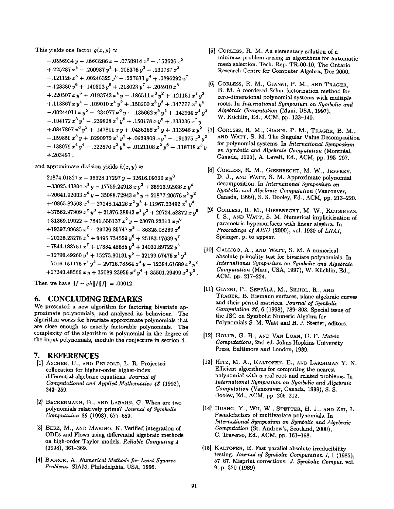This yields one factor  $g(x,y) \approx$ 

$$
-.0556934 y - .0993286 x - .0750914 x2 - .152626 x5+.225287 x4 - .200987 y3 + .208376 y2 - .130787 x3-.121128 x6 + .00246325 y5 - .227633 y4 + .0896292 x7-.128380 y6 + .140503 y8 + .218023 y7 + .205910 x8 [6]+.220507 x y3 + .0193743 x4 y - .186511 x3 y2 + .121151 x2 y3+.113867 x y4 - .109010 x4 y2 + .150200 x3 y3 + .147777 x2 y4- .00244011 x y5 - .234977 x6 y - .135662 x5 y2 + .142930 x4 y3- .104172 x3 y4 - .239828 x2 y5 + .150178 x y6 + .133236 x7 y+ .0847897 x6 y2 + .147811 x y + .0436168 x2 y + .113946 x y2 [7]- .159850 x3 y + .0290970 x2 y2 + .0629809 x y7 - .191375 x5 y3- .13
$$

and approximate division yields  $h(x,y) \approx$ 

 $21874.01827 x - 36328.17297 y - 32616.09320 x y^3$  $-33025.43804 x<sup>3</sup> y -17759.24918 x y<sup>2</sup> + 35913.92936 x y<sup>4</sup>$  $+20641.92003 x<sup>6</sup> y - 35088.72943 x<sup>5</sup> y + 21877.20676 x<sup>5</sup> y<sup>2</sup>$  $+40865.89508 x<sup>4</sup> - 27248.14126 x<sup>2</sup> y<sup>5</sup> + 11967.23492 x<sup>2</sup> y<sup>4</sup>$  $+37562.97909 x<sup>2</sup> y<sup>3</sup> + 21876.38942 x<sup>2</sup> y<sup>2</sup> + 29724.58872 x y<sup>5</sup>$  $+31369.19022+7841.558137 x<sup>2</sup> y-28070.23313 x y<sup>6</sup>$  $+19397.99685 x^2-29726.85747 x^3-36325.08269 x^6$  $-20228.23278 x^{5} + 9495.734559 y^{6} + 25183.17639 y^{7}$  $-7844.188751 x<sup>7</sup> + 17334.48685 y<sup>2</sup> + 14032.89722 y<sup>3</sup>$  $-12799.49260 y<sup>4</sup> + 15273.80181 y<sup>5</sup> - 32199.67475 x<sup>4</sup> y<sup>3</sup>$  $-7016.151176 x<sup>4</sup> y<sup>2</sup> - 29718.78564 x<sup>4</sup> y - 12384.61689 x<sup>3</sup> y<sup>2</sup>$  $+27240.48566$   $x y + 35089.23956$   $x^3 y^4 + 35501.29499$   $x^3 y^3$ .

Then we have  $||f - gh||/||f|| = .00012$ .

### **6.** CONCLUDING REMARKS

We presented a new algorithm for factoring bivariate approximate polynomials, and analyzed its behaviour. The algorithm works for bivariate approximate polynomials that are close enough to exactly factorable polynomials. The complexity of the algorithm is polynomial in the degree of the input polynomials, modulo the conjecture in section 4.

### **7.** REFERENCES

- [1] ASCHER, U., AND PETZOLD, L. R. Projected collocation for higher-order higher-index differential-algebraic equations. *Journal of Computational and Applied Mathematics 43* (1992), 243-259.
- [21 BECKERMANN, B., AND LABAHN, G. When are two polynomials relatively prime? *Journal of Symbolic Computation 26* (1998), 677-689.
- [3] BERZ, M., AND MAKINO, K. Verified integration of ODEs and Flows using differential algebraic methods on high-order Taylor models. *Reliable Computing 4*  (1998), 361-369.
- [4] BJORCK, A. *Numerical Methods for Least Squares Problems.* SIAM, Philadelphia, USA, 1996.
- [5] CORLESS, R. M. An elementary solution of a minimax problem arising in algorithms for automatic mesh selection. Tech. Rep. TR-00-10, The Ontario Research Centre for Computer Algebra, Dec 2000.
- CORLESS, R. M., GIANNI, P. M., AND TRAGER, B. M. A reordered Schur factorization method for zero-dimensional polynomial systems with multiple roots. In *International Symposium on Symbolic and Algebraic Computation (Maui, USA, 1997),* W. Küchlin, Ed., ACM, pp. 133-140.
- [7] CORLESS, R. M., GIANNI, P. M., TRAGER, B. M., AND WATT, S. M. The Singular Value Decomposition for polynomial systems. In *International Symposium on Symbolic and Algebraic Computation* (Montreal, Canada, 1995), A. Levelt, Ed., ACM, pp. 195-207.
- [8] CORLESS, R. M., GIESBRECHT, M. W., JEFFREY, D. J., AND WATT, S. M. Approximate polynomial decomposition. In *International Symposium on Symbolic and Algebraic Computation* (Vancouver, Canada, 1999), S. S. Dooley, Ed., ACM, pp. 213-220.
- CORLESS, R. M., GIESBRECHT, M. W., KOTSIREAS, I. S., AND WATT, S. M. Numerical implicitization of parametric hypersurfaces with linear algebra. In *Proceedings of AISC* (2000), vol. 1930 of *LNAI,*  Springer, p. to appear.
- [10] GALLIGO, A., AND WATT, S. M. A numerical absolute primality test for bivariate polynomials. In *International Symposium on Symbolic and Algebraic Computation (Maui, USA, 1997), W. Küchlin, Ed.,* ACM, pp. 217-224.
- [11] GIANNI, P., Seppälä, M., Silhol, R., and TRAGER, B. Riemann surfaces, plane algebraic curves and their period matrices. *Journal of Symbolic Computation* 26, 6 (1998), 789-803. Special issue of the JSC on Symbolic Numeric Algebra for Polynomials S. M. Watt and H. J. Stetter, editors.
- [121 GOLUB, G. H., AND VAN LOAN, C. F. *Matrix Computations,* 2nd ed. Johns Hopkins University Press, Baltimore and London, 1989.
- [13] HITZ, M. A., KALTOFEN, E., AND LAKSHMAN Y. N. Efficient algorithms for computing the nearest polynomial with a real root and related problems. In *International Symposium on Symbolic and Algebraic Computation* (Vancouver, Canada, 1999), S. S. Dooley, Ed., ACM, pp. 205-212.
- **[14]**  HUANG, Y., Wu, W., STETTER, H. J., AND ZHI, L. Pseudofactors of multivariate polynomials. In *International Symposium on Symbolic and Algebraic Computation* (St. Andrew's, Scotland, 2000), C. Traverso, Ed., ACM, pp. 161-168.
- [15] KALTOFEN, E. Fast parallel absolute irreducibility testing. *Journal of Symbolic Computation* 1, 1 (1985), 57-67. Misprint corrections: *J. Symbolic Comput.* vol. 9, p. 320 (1989).